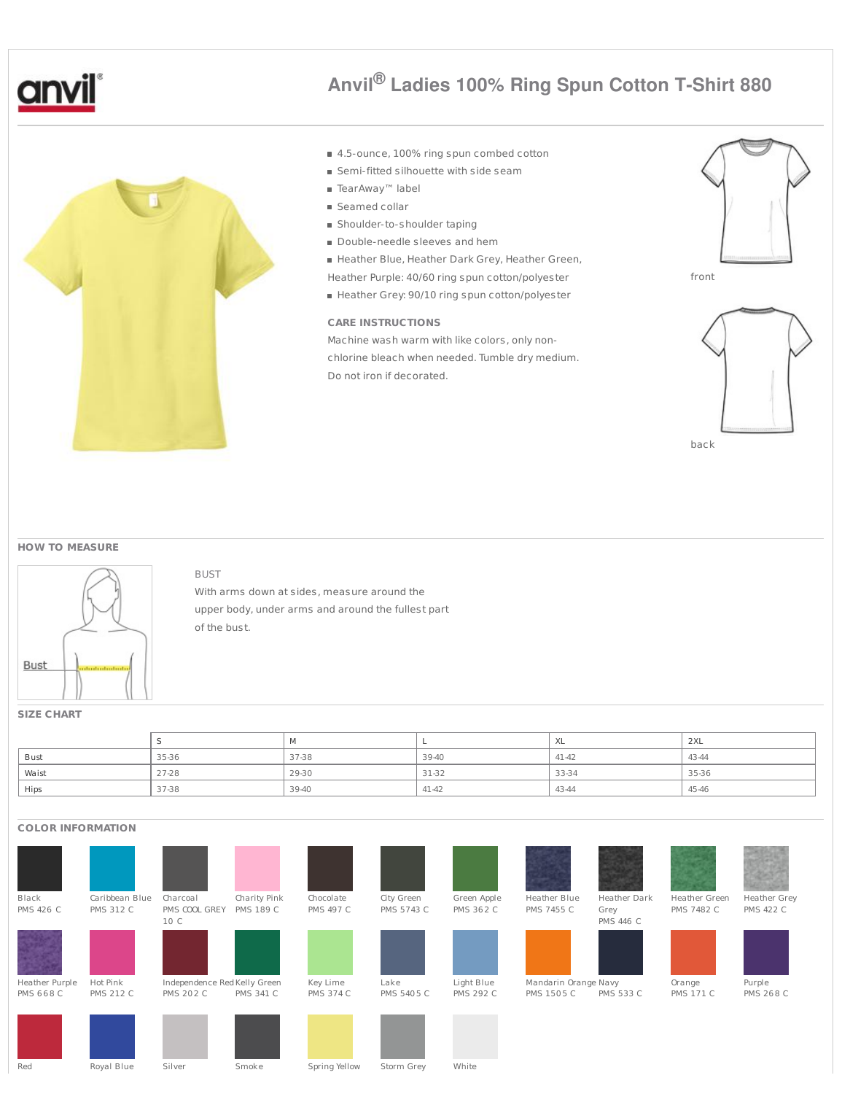



# **Anvil® Ladies 100% Ring Spun Cotton T-Shirt 880**

- 4.5-ounce, 100% ring spun combed cotton
- **Semi-fitted silhouette with side seam**
- TearAway™ label
- Seamed collar
- Shoulder-to-shoulder taping
- Double-needle sleeves and hem
- Heather Blue, Heather Dark Grey, Heather Green,
- Heather Purple: 40/60 ring spun cotton/polyester
- Heather Grey: 90/10 ring spun cotton/polyester

## **CARE INSTRUCTIONS**

Machine wash warm with like colors, only nonchlorine bleach when needed. Tumble dry medium. Do not iron if decorated.









#### **HOW TO MEASURE**



#### BUST

With arms down at sides, measure around the upper body, under arms and around the fullest part of the bust.

### **SIZE CHART**

|             |       |       |       | ⌒∧∟   | 2XL   |
|-------------|-------|-------|-------|-------|-------|
| <b>Bust</b> | 35-36 | 37-38 | 39-40 | 41-42 | 43-44 |
| Waist       | 27-28 | 29-30 | 31-32 | 33-34 | 35-36 |
| Hips        | 37-38 | 39-40 | 41-42 | 43-44 | 45-46 |